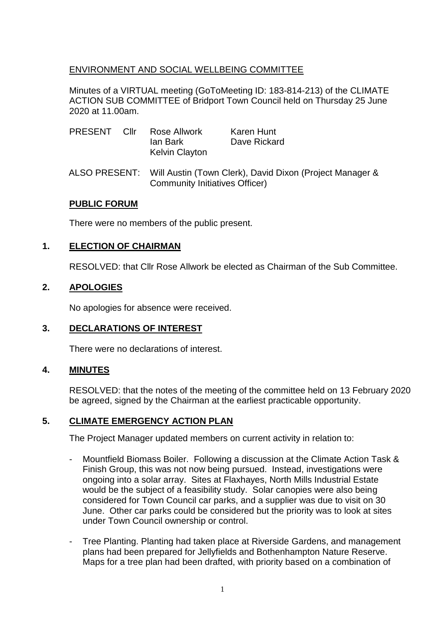# ENVIRONMENT AND SOCIAL WELLBEING COMMITTEE

Minutes of a VIRTUAL meeting (GoToMeeting ID: 183-814-213) of the CLIMATE ACTION SUB COMMITTEE of Bridport Town Council held on Thursday 25 June 2020 at 11.00am.

| PRESENT       | Cllr | Rose Allwork<br>lan Bark<br><b>Kelvin Clayton</b>                                          | Karen Hunt<br>Dave Rickard |
|---------------|------|--------------------------------------------------------------------------------------------|----------------------------|
| ALSO PRESENT: |      | Will Austin (Town Clerk), David Dixon (Project Manager &<br>Community Initiatives Officer) |                            |

## **PUBLIC FORUM**

There were no members of the public present.

## **1. ELECTION OF CHAIRMAN**

RESOLVED: that Cllr Rose Allwork be elected as Chairman of the Sub Committee.

#### **2. APOLOGIES**

No apologies for absence were received.

## **3. DECLARATIONS OF INTEREST**

There were no declarations of interest.

#### **4. MINUTES**

RESOLVED: that the notes of the meeting of the committee held on 13 February 2020 be agreed, signed by the Chairman at the earliest practicable opportunity.

#### **5. CLIMATE EMERGENCY ACTION PLAN**

The Project Manager updated members on current activity in relation to:

- Mountfield Biomass Boiler. Following a discussion at the Climate Action Task & Finish Group, this was not now being pursued. Instead, investigations were ongoing into a solar array. Sites at Flaxhayes, North Mills Industrial Estate would be the subject of a feasibility study. Solar canopies were also being considered for Town Council car parks, and a supplier was due to visit on 30 June. Other car parks could be considered but the priority was to look at sites under Town Council ownership or control.
- Tree Planting. Planting had taken place at Riverside Gardens, and management plans had been prepared for Jellyfields and Bothenhampton Nature Reserve. Maps for a tree plan had been drafted, with priority based on a combination of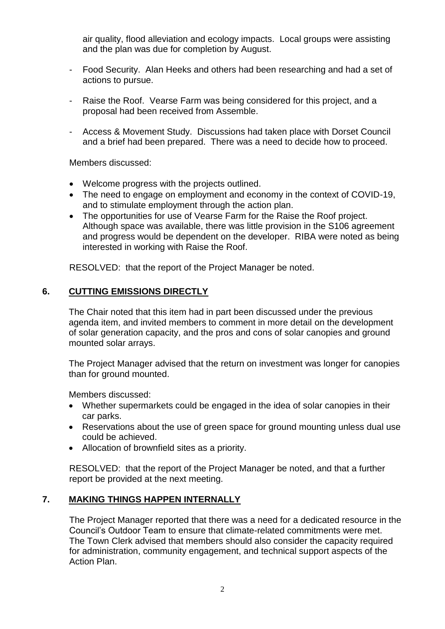air quality, flood alleviation and ecology impacts. Local groups were assisting and the plan was due for completion by August.

- Food Security. Alan Heeks and others had been researching and had a set of actions to pursue.
- Raise the Roof. Vearse Farm was being considered for this project, and a proposal had been received from Assemble.
- Access & Movement Study. Discussions had taken place with Dorset Council and a brief had been prepared. There was a need to decide how to proceed.

Members discussed:

- Welcome progress with the projects outlined.
- The need to engage on employment and economy in the context of COVID-19, and to stimulate employment through the action plan.
- The opportunities for use of Vearse Farm for the Raise the Roof project. Although space was available, there was little provision in the S106 agreement and progress would be dependent on the developer. RIBA were noted as being interested in working with Raise the Roof.

RESOLVED: that the report of the Project Manager be noted.

# **6. CUTTING EMISSIONS DIRECTLY**

The Chair noted that this item had in part been discussed under the previous agenda item, and invited members to comment in more detail on the development of solar generation capacity, and the pros and cons of solar canopies and ground mounted solar arrays.

The Project Manager advised that the return on investment was longer for canopies than for ground mounted.

Members discussed:

- Whether supermarkets could be engaged in the idea of solar canopies in their car parks.
- Reservations about the use of green space for ground mounting unless dual use could be achieved.
- Allocation of brownfield sites as a priority.

RESOLVED: that the report of the Project Manager be noted, and that a further report be provided at the next meeting.

## **7. MAKING THINGS HAPPEN INTERNALLY**

The Project Manager reported that there was a need for a dedicated resource in the Council's Outdoor Team to ensure that climate-related commitments were met. The Town Clerk advised that members should also consider the capacity required for administration, community engagement, and technical support aspects of the Action Plan.